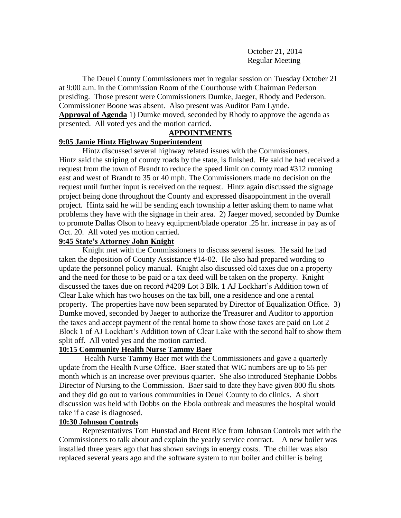October 21, 2014 Regular Meeting

The Deuel County Commissioners met in regular session on Tuesday October 21 at 9:00 a.m. in the Commission Room of the Courthouse with Chairman Pederson presiding. Those present were Commissioners Dumke, Jaeger, Rhody and Pederson. Commissioner Boone was absent. Also present was Auditor Pam Lynde. **Approval of Agenda** 1) Dumke moved, seconded by Rhody to approve the agenda as presented. All voted yes and the motion carried.

## **APPOINTMENTS**

# **9:05 Jamie Hintz Highway Superintendent**

Hintz discussed several highway related issues with the Commissioners. Hintz said the striping of county roads by the state, is finished. He said he had received a request from the town of Brandt to reduce the speed limit on county road #312 running east and west of Brandt to 35 or 40 mph. The Commissioners made no decision on the request until further input is received on the request. Hintz again discussed the signage project being done throughout the County and expressed disappointment in the overall project. Hintz said he will be sending each township a letter asking them to name what problems they have with the signage in their area. 2) Jaeger moved, seconded by Dumke to promote Dallas Olson to heavy equipment/blade operator .25 hr. increase in pay as of Oct. 20. All voted yes motion carried.

## **9:45 State's Attorney John Knight**

Knight met with the Commissioners to discuss several issues. He said he had taken the deposition of County Assistance #14-02. He also had prepared wording to update the personnel policy manual. Knight also discussed old taxes due on a property and the need for those to be paid or a tax deed will be taken on the property. Knight discussed the taxes due on record #4209 Lot 3 Blk. 1 AJ Lockhart's Addition town of Clear Lake which has two houses on the tax bill, one a residence and one a rental property. The properties have now been separated by Director of Equalization Office. 3) Dumke moved, seconded by Jaeger to authorize the Treasurer and Auditor to apportion the taxes and accept payment of the rental home to show those taxes are paid on Lot 2 Block 1 of AJ Lockhart's Addition town of Clear Lake with the second half to show them split off. All voted yes and the motion carried.

## **10:15 Community Health Nurse Tammy Baer**

Health Nurse Tammy Baer met with the Commissioners and gave a quarterly update from the Health Nurse Office. Baer stated that WIC numbers are up to 55 per month which is an increase over previous quarter. She also introduced Stephanie Dobbs Director of Nursing to the Commission. Baer said to date they have given 800 flu shots and they did go out to various communities in Deuel County to do clinics. A short discussion was held with Dobbs on the Ebola outbreak and measures the hospital would take if a case is diagnosed.

### **10:30 Johnson Controls**

Representatives Tom Hunstad and Brent Rice from Johnson Controls met with the Commissioners to talk about and explain the yearly service contract. A new boiler was installed three years ago that has shown savings in energy costs. The chiller was also replaced several years ago and the software system to run boiler and chiller is being